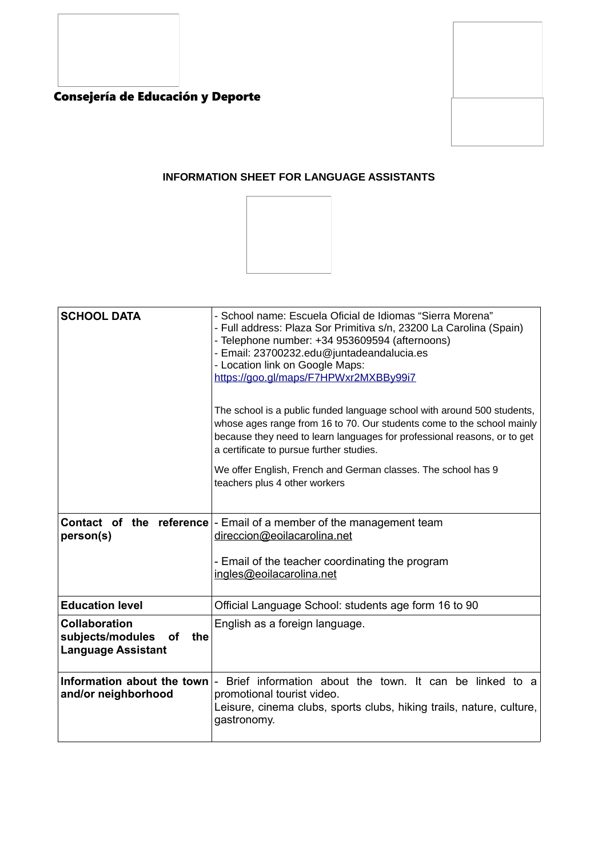



## **INFORMATION SHEET FOR LANGUAGE ASSISTANTS**



| <b>SCHOOL DATA</b>                                                                        | - School name: Escuela Oficial de Idiomas "Sierra Morena"<br>- Full address: Plaza Sor Primitiva s/n, 23200 La Carolina (Spain)<br>- Telephone number: +34 953609594 (afternoons)<br>- Email: 23700232.edu@juntadeandalucia.es<br>- Location link on Google Maps:<br>https://goo.gl/maps/F7HPWxr2MXBBy99i7 |  |
|-------------------------------------------------------------------------------------------|------------------------------------------------------------------------------------------------------------------------------------------------------------------------------------------------------------------------------------------------------------------------------------------------------------|--|
|                                                                                           | The school is a public funded language school with around 500 students,<br>whose ages range from 16 to 70. Our students come to the school mainly<br>because they need to learn languages for professional reasons, or to get<br>a certificate to pursue further studies.                                  |  |
|                                                                                           | We offer English, French and German classes. The school has 9<br>teachers plus 4 other workers                                                                                                                                                                                                             |  |
| person(s)                                                                                 | <b>Contact of the reference</b> - Email of a member of the management team<br>direccion@eoilacarolina.net<br>- Email of the teacher coordinating the program                                                                                                                                               |  |
|                                                                                           | ingles@eoilacarolina.net                                                                                                                                                                                                                                                                                   |  |
| <b>Education level</b>                                                                    | Official Language School: students age form 16 to 90                                                                                                                                                                                                                                                       |  |
| <b>Collaboration</b><br>subjects/modules<br><b>of</b><br>the<br><b>Language Assistant</b> | English as a foreign language.                                                                                                                                                                                                                                                                             |  |
| Information about the town<br>and/or neighborhood                                         | - Brief information about the town. It can be linked to a<br>promotional tourist video.<br>Leisure, cinema clubs, sports clubs, hiking trails, nature, culture,<br>gastronomy.                                                                                                                             |  |